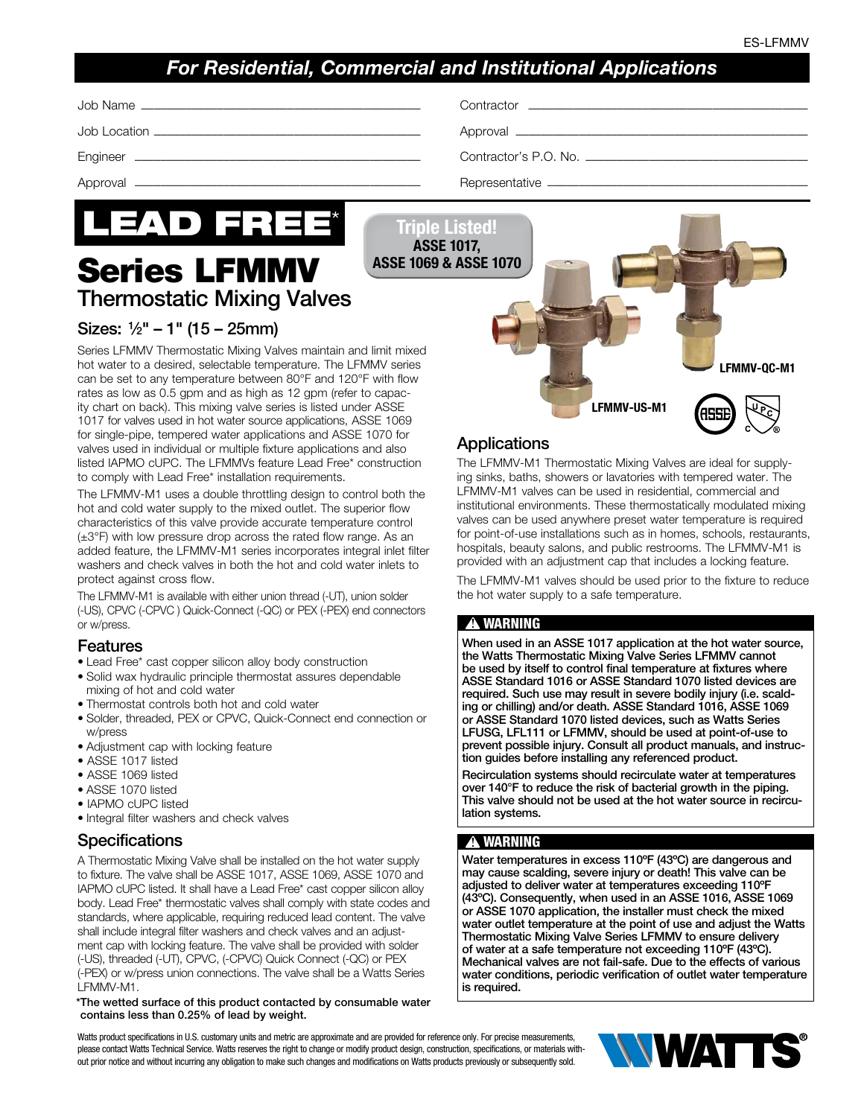LFMMV-QC-M1

## *For Residential, Commercial and Institutional Applications*

| -Nar<br>JOD<br>me.<br>чинастог.<br>,我们也不会有什么?""我们的人,我们也不会有什么?""我们的人,我们也不会有什么?""我们的人,我们也不会有什么?""我们的人,我们也不会有什么?""我们的人 | ,我们也不会有什么?""我们的话,我们也不会有什么?""我们的话,我们也不会有什么?""我们的话,我们也不会有什么?""我们的话,我们也不会有什么?""我们的话 |
|---------------------------------------------------------------------------------------------------------------------|----------------------------------------------------------------------------------|
|---------------------------------------------------------------------------------------------------------------------|----------------------------------------------------------------------------------|

Job Location –––––––––––––––––––––––––––––––––––––––––– Approval ––––––––––––––––––––––––––––––––––––––––––––––

Engineer ––––––––––––––––––––––––––––––––––––––––––––– Contractor's P.O. No. –––––––––––––––––––––––––––––––––––

Approval ––––––––––––––––––––––––––––––––––––––––––––– Representative –––––––––––––––––––––––––––––––––––––––––



Thermostatic Mixing Valves

Triple Listed! ASSE 1017, ASSE 1069 & ASSE 1070

## Sizes: 1⁄2" – 1" (15 – 25mm)

Series LFMMV Thermostatic Mixing Valves maintain and limit mixed hot water to a desired, selectable temperature. The LFMMV series can be set to any temperature between 80°F and 120°F with flow rates as low as 0.5 gpm and as high as 12 gpm (refer to capacity chart on back). This mixing valve series is listed under ASSE 1017 for valves used in hot water source applications, ASSE 1069 for single-pipe, tempered water applications and ASSE 1070 for valves used in individual or multiple fixture applications and also listed IAPMO cUPC. The LFMMVs feature Lead Free\* construction to comply with Lead Free\* installation requirements.

The LFMMV-M1 uses a double throttling design to control both the hot and cold water supply to the mixed outlet. The superior flow characteristics of this valve provide accurate temperature control (±3°F) with low pressure drop across the rated flow range. As an added feature, the LFMMV-M1 series incorporates integral inlet filter washers and check valves in both the hot and cold water inlets to protect against cross flow.

The LFMMV-M1 is available with either union thread (-UT), union solder (-US), CPVC (-CPVC ) Quick-Connect (-QC) or PEX (-PEX) end connectors or w/press.

#### Features

- Lead Free\* cast copper silicon alloy body construction
- Solid wax hydraulic principle thermostat assures dependable mixing of hot and cold water
- Thermostat controls both hot and cold water
- Solder, threaded, PEX or CPVC, Quick-Connect end connection or w/press
- Adjustment cap with locking feature
- ASSE 1017 listed
- ASSE 1069 listed
- ASSE 1070 listed
- IAPMO cUPC listed
- Integral filter washers and check valves

### **Specifications**

A Thermostatic Mixing Valve shall be installed on the hot water supply to fixture. The valve shall be ASSE 1017, ASSE 1069, ASSE 1070 and IAPMO cUPC listed. It shall have a Lead Free\* cast copper silicon alloy body. Lead Free\* thermostatic valves shall comply with state codes and standards, where applicable, requiring reduced lead content. The valve shall include integral filter washers and check valves and an adjustment cap with locking feature. The valve shall be provided with solder (-US), threaded (-UT), CPVC, (-CPVC) Quick Connect (-QC) or PEX (-PEX) or w/press union connections. The valve shall be a Watts Series LFMMV-M1.

#### \*The wetted surface of this product contacted by consumable water contains less than 0.25% of lead by weight.

Watts product specifications in U.S. customary units and metric are approximate and are provided for reference only. For precise measurements, please contact Watts Technical Service. Watts reserves the right to change or modify product design, construction, specifications, or materials without prior notice and without incurring any obligation to make such changes and modifications on Watts products previously or subsequently sold.



The LFMMV-M1 Thermostatic Mixing Valves are ideal for supplying sinks, baths, showers or lavatories with tempered water. The LFMMV-M1 valves can be used in residential, commercial and institutional environments. These thermostatically modulated mixing valves can be used anywhere preset water temperature is required for point-of-use installations such as in homes, schools, restaurants, hospitals, beauty salons, and public restrooms. The LFMMV-M1 is provided with an adjustment cap that includes a locking feature.

LFMMV-US-M1

The LFMMV-M1 valves should be used prior to the fixture to reduce the hot water supply to a safe temperature.

#### **!** WARNING

When used in an ASSE 1017 application at the hot water source, the Watts Thermostatic Mixing Valve Series LFMMV cannot be used by itself to control final temperature at fixtures where ASSE Standard 1016 or ASSE Standard 1070 listed devices are required. Such use may result in severe bodily injury (i.e. scalding or chilling) and/or death. ASSE Standard 1016, ASSE 1069 or ASSE Standard 1070 listed devices, such as Watts Series LFUSG, LFL111 or LFMMV, should be used at point-of-use to prevent possible injury. Consult all product manuals, and instruction guides before installing any referenced product.

Recirculation systems should recirculate water at temperatures over 140°F to reduce the risk of bacterial growth in the piping. This valve should not be used at the hot water source in recirculation systems.

#### **!** WARNING

Water temperatures in excess 110ºF (43ºC) are dangerous and may cause scalding, severe injury or death! This valve can be adjusted to deliver water at temperatures exceeding 110ºF (43ºC). Consequently, when used in an ASSE 1016, ASSE 1069 or ASSE 1070 application, the installer must check the mixed water outlet temperature at the point of use and adjust the Watts Thermostatic Mixing Valve Series LFMMV to ensure delivery of water at a safe temperature not exceeding 110ºF (43ºC). Mechanical valves are not fail-safe. Due to the effects of various water conditions, periodic verification of outlet water temperature is required.